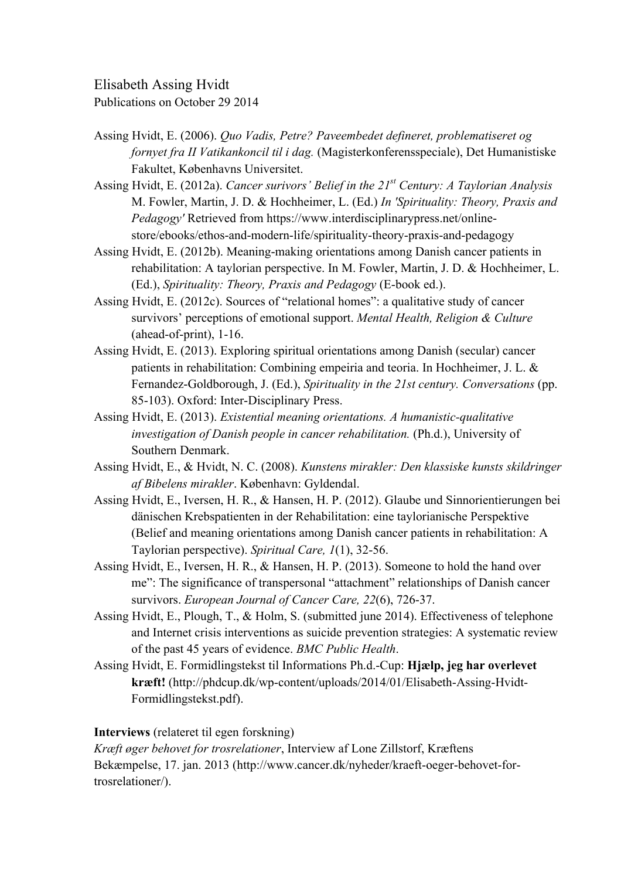Elisabeth Assing Hvidt

Publications on October 29 2014

- Assing Hvidt, E. (2006). *Quo Vadis, Petre? Paveembedet defineret, problematiseret og fornyet fra II Vatikankoncil til i dag.* (Magisterkonferensspeciale), Det Humanistiske Fakultet, Københavns Universitet.
- Assing Hvidt, E. (2012a). *Cancer surivors' Belief in the 21st Century: A Taylorian Analysis* M. Fowler, Martin, J. D. & Hochheimer, L. (Ed.) *In 'Spirituality: Theory, Praxis and Pedagogy'* Retrieved from https://www.interdisciplinarypress.net/onlinestore/ebooks/ethos-and-modern-life/spirituality-theory-praxis-and-pedagogy
- Assing Hvidt, E. (2012b). Meaning-making orientations among Danish cancer patients in rehabilitation: A taylorian perspective. In M. Fowler, Martin, J. D. & Hochheimer, L. (Ed.), *Spirituality: Theory, Praxis and Pedagogy* (E-book ed.).
- Assing Hvidt, E. (2012c). Sources of "relational homes": a qualitative study of cancer survivors' perceptions of emotional support. *Mental Health, Religion & Culture* (ahead-of-print), 1-16.
- Assing Hvidt, E. (2013). Exploring spiritual orientations among Danish (secular) cancer patients in rehabilitation: Combining empeiria and teoria. In Hochheimer, J. L. & Fernandez-Goldborough, J. (Ed.), *Spirituality in the 21st century. Conversations* (pp. 85-103). Oxford: Inter-Disciplinary Press.
- Assing Hvidt, E. (2013). *Existential meaning orientations. A humanistic-qualitative investigation of Danish people in cancer rehabilitation.* (Ph.d.), University of Southern Denmark.
- Assing Hvidt, E., & Hvidt, N. C. (2008). *Kunstens mirakler: Den klassiske kunsts skildringer af Bibelens mirakler*. København: Gyldendal.
- Assing Hvidt, E., Iversen, H. R., & Hansen, H. P. (2012). Glaube und Sinnorientierungen bei dänischen Krebspatienten in der Rehabilitation: eine taylorianische Perspektive (Belief and meaning orientations among Danish cancer patients in rehabilitation: A Taylorian perspective). *Spiritual Care, 1*(1), 32-56.
- Assing Hvidt, E., Iversen, H. R., & Hansen, H. P. (2013). Someone to hold the hand over me": The significance of transpersonal "attachment" relationships of Danish cancer survivors. *European Journal of Cancer Care, 22*(6), 726-37.
- Assing Hvidt, E., Plough, T., & Holm, S. (submitted june 2014). Effectiveness of telephone and Internet crisis interventions as suicide prevention strategies: A systematic review of the past 45 years of evidence. *BMC Public Health*.
- Assing Hvidt, E. Formidlingstekst til Informations Ph.d.-Cup: **Hjælp, jeg har overlevet kræft!** (http://phdcup.dk/wp-content/uploads/2014/01/Elisabeth-Assing-Hvidt-Formidlingstekst.pdf).

## **Interviews** (relateret til egen forskning)

*Kræft øger behovet for trosrelationer*, Interview af Lone Zillstorf, Kræftens Bekæmpelse, 17. jan. 2013 (http://www.cancer.dk/nyheder/kraeft-oeger-behovet-fortrosrelationer/).